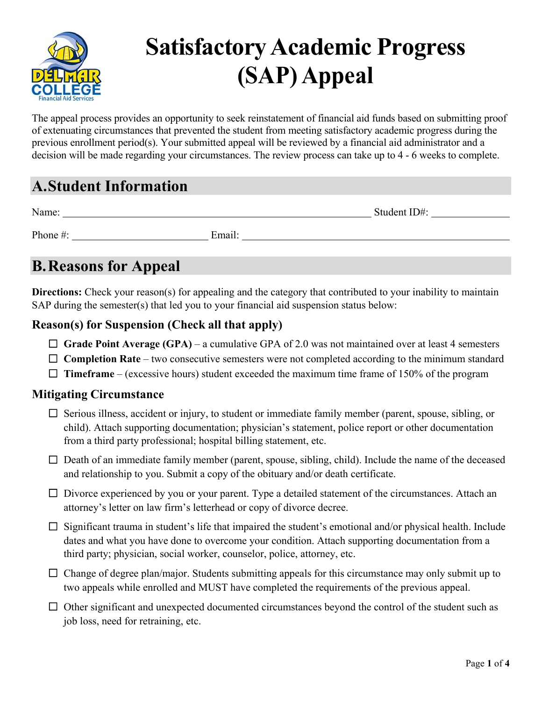

# **Satisfactory Academic Progress (SAP) Appeal**

The appeal process provides an opportunity to seek reinstatement of financial aid funds based on submitting proof of extenuating circumstances that prevented the student from meeting satisfactory academic progress during the previous enrollment period(s). Your submitted appeal will be reviewed by a financial aid administrator and a decision will be made regarding your circumstances. The review process can take up to 4 - 6 weeks to complete.

## **A.Student Information**

| Name:    |        | Student ID#: |
|----------|--------|--------------|
| Phone #: | Email: |              |

## **B.Reasons for Appeal**

**Directions:** Check your reason(s) for appealing and the category that contributed to your inability to maintain SAP during the semester(s) that led you to your financial aid suspension status below:

### **Reason(s) for Suspension (Check all that apply)**

- □ Grade Point Average (GPA) a cumulative GPA of 2.0 was not maintained over at least 4 semesters
- □ **Completion Rate** two consecutive semesters were not completed according to the minimum standard
- $\Box$  **Timeframe** (excessive hours) student exceeded the maximum time frame of 150% of the program

#### **Mitigating Circumstance**

- ☐ Serious illness, accident or injury, to student or immediate family member (parent, spouse, sibling, or child). Attach supporting documentation; physician's statement, police report or other documentation from a third party professional; hospital billing statement, etc.
- $\Box$  Death of an immediate family member (parent, spouse, sibling, child). Include the name of the deceased and relationship to you. Submit a copy of the obituary and/or death certificate.
- $\Box$  Divorce experienced by you or your parent. Type a detailed statement of the circumstances. Attach an attorney's letter on law firm's letterhead or copy of divorce decree.
- $\Box$  Significant trauma in student's life that impaired the student's emotional and/or physical health. Include dates and what you have done to overcome your condition. Attach supporting documentation from a third party; physician, social worker, counselor, police, attorney, etc.
- $\Box$  Change of degree plan/major. Students submitting appeals for this circumstance may only submit up to two appeals while enrolled and MUST have completed the requirements of the previous appeal.
- $\Box$  Other significant and unexpected documented circumstances beyond the control of the student such as job loss, need for retraining, etc.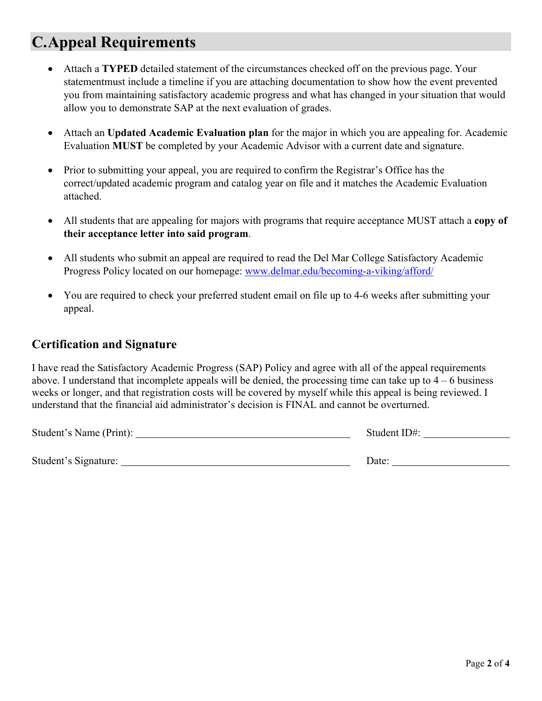## **C.Appeal Requirements**

- Attach a **TYPED** detailed statement of the circumstances checked off on the previous page. Your statement must include a timeline if you are attaching documentation to show how the event prevented you from maintaining satisfactory academic progress and what has changed in your situation that would allow you to demonstrate SAP at the next evaluation of grades.
- Attach an **Updated Academic Evaluation plan** for the major in which you are appealing for. Academic Evaluation **MUST** be completed by your Academic Advisor with a current date and signature.
- Prior to submitting your appeal, you are required to confirm the Registrar's Office has the correct/updated academic program and catalog year on file and it matches the Academic Evaluation attached.
- All students that are appealing for majors with programs that require acceptance MUST attach a **copy of their acceptance letter into said program**.
- All students who submit an appeal are required to read the Del Mar College Satisfactory Academic Progress Policy located on our homepage:<www.delmar.edu/becoming-a-viking/afford/>
- You are required to check your preferred student email on file up to 4-6 weeks after submitting your appeal.

#### **Certification and Signature**

I have read the Satisfactory Academic Progress (SAP) Policy and agree with all of the appeal requirements above. I understand that incomplete appeals will be denied, the processing time can take up to  $4 - 6$  business weeks or longer, and that registration costs will be covered by myself while this appeal is being reviewed. I understand that the financial aid administrator's decision is FINAL and cannot be overturned.

| Student's Name (Print): | Student ID#: |
|-------------------------|--------------|
|                         |              |
| Student's Signature:    | Date:        |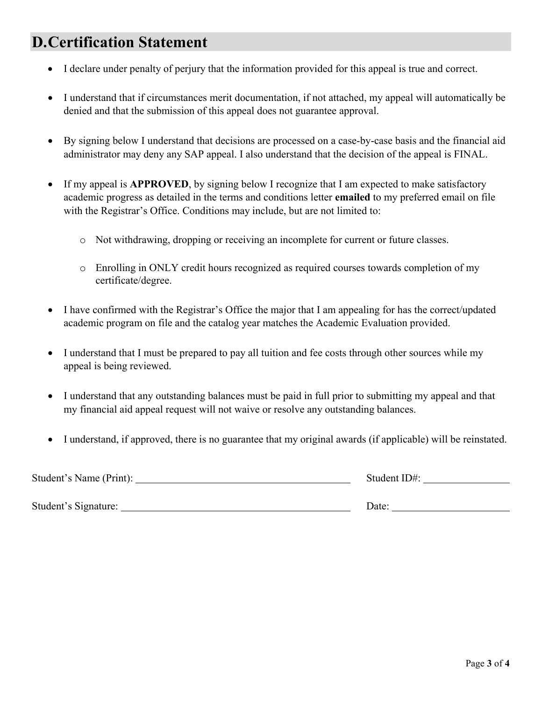## **D.Certification Statement**

- I declare under penalty of perjury that the information provided for this appeal is true and correct.
- I understand that if circumstances merit documentation, if not attached, my appeal will automatically be denied and that the submission of this appeal does not guarantee approval.
- By signing below I understand that decisions are processed on a case-by-case basis and the financial aid administrator may deny any SAP appeal. I also understand that the decision of the appeal is FINAL.
- If my appeal is **APPROVED**, by signing below I recognize that I am expected to make satisfactory academic progress as detailed in the terms and conditions letter **emailed** to my preferred email on file with the Registrar's Office. Conditions may include, but are not limited to:
	- o Not withdrawing, dropping or receiving an incomplete for current or future classes.
	- o Enrolling in ONLY credit hours recognized as required courses towards completion of my certificate/degree.
- I have confirmed with the Registrar's Office the major that I am appealing for has the correct/updated academic program on file and the catalog year matches the Academic Evaluation provided.
- I understand that I must be prepared to pay all tuition and fee costs through other sources while my appeal is being reviewed.
- I understand that any outstanding balances must be paid in full prior to submitting my appeal and that my financial aid appeal request will not waive or resolve any outstanding balances.
- I understand, if approved, there is no guarantee that my original awards (if applicable) will be reinstated.

| Student's Name (Print): | Student ID#: |  |
|-------------------------|--------------|--|
|                         |              |  |

Student's Signature: Date: Date: Date: Date: Date: Date: Date: Date: Date: Date: D